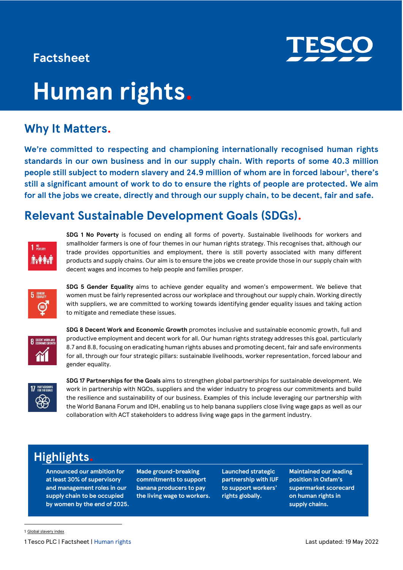### **Factsheet**



# **Human rights.**

## **Why It Matters.**

**We're committed to respecting and championing internationally recognised human rights standards in our own business and in our supply chain. With reports of some 40.3 million people still subject to modern slavery and 24.9 million of whom are in forced labour<sup>1</sup> , there's still a significant amount of work to do to ensure the rights of people are protected. We aim for all the jobs we create, directly and through our supply chain, to be decent, fair and safe.** 

### **Relevant Sustainable Development Goals (SDGs).**



**SDG 1 No Poverty** is focused on ending all forms of poverty. Sustainable livelihoods for workers and smallholder farmers is one of four themes in our human rights strategy. This recognises that, although our trade provides opportunities and employment, there is still poverty associated with many different products and supply chains. Our aim is to ensure the jobs we create provide those in our supply chain with decent wages and incomes to help people and families prosper.



**SDG 5 Gender Equality** aims to achieve gender equality and women's empowerment. We believe that women must be fairly represented across our workplace and throughout our supply chain. Working directly with suppliers, we are committed to working towards identifying gender equality issues and taking action to mitigate and remediate these issues.



**SDG 8 Decent Work and Economic Growth** promotes inclusive and sustainable economic growth, full and productive employment and decent work for all. Our human rights strategy addresses this goal, particularly 8.7 and 8.8, focusing on eradicating human rights abuses and promoting decent, fair and safe environments for all, through our four strategic pillars: sustainable livelihoods, worker representation, forced labour and gender equality.



**SDG 17 Partnerships for the Goals** aims to strengthen global partnerships for sustainable development. We work in partnership with NGOs, suppliers and the wider industry to progress our commitments and build the resilience and sustainability of our business. Examples of this include leveraging our partnership with the World Banana Forum and IDH, enabling us to help banana suppliers close living wage gaps as well as our collaboration with ACT stakeholders to address living wage gaps in the garment industry.

## **Highlights.**

**Announced our ambition for at least 30% of supervisory and management roles in our supply chain to be occupied by women by the end of 2025.** **Made ground-breaking commitments to support banana producers to pay the living wage to workers.** **Launched strategic partnership with IUF to support workers' rights globally.**

**Maintained our leading position in Oxfam's supermarket scorecard on human rights in supply chains.**

1 Tesco PLC | Factsheet | Human rights Last updated: 19 May 2022

<sup>1</sup> [Global slavery index](https://www.globalslaveryindex.org/2018/findings/global-findings/)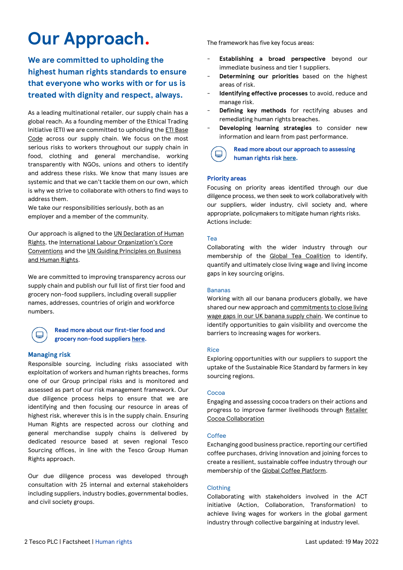## **Our Approach.**

**We are committed to upholding the highest human rights standards to ensure that everyone who works with or for us is treated with dignity and respect, always.** 

As a leading multinational retailer, our supply chain has a global reach. As a founding member of the Ethical Trading Initiative (ETI) we are committed to upholding th[e ETI Base](https://www.ethicaltrade.org/)  [Code](https://www.ethicaltrade.org/) across our supply chain. We focus on the most serious risks to workers throughout our supply chain in food, clothing and general merchandise, working transparently with NGOs, unions and others to identify and address these risks. We know that many issues are systemic and that we can't tackle them on our own, which is why we strive to collaborate with others to find ways to address them.

We take our responsibilities seriously, both as an employer and a member of the community.

Our approach is aligned to the UN [Declaration of Human](https://www.un.org/en/universal-declaration-human-rights/)  [Rights,](https://www.un.org/en/universal-declaration-human-rights/) the International Labou[r Organization's Core](https://www.ilo.org/global/standards/introduction-to-international-labour-standards/conventions-and-recommendations/lang--en/index.htm)  [Conventions](https://www.ilo.org/global/standards/introduction-to-international-labour-standards/conventions-and-recommendations/lang--en/index.htm) and the [UN Guiding Principles on Business](https://www.ohchr.org/documents/publications/guidingprinciplesbusinesshr_en.pdf)  [and Human Rights.](https://www.ohchr.org/documents/publications/guidingprinciplesbusinesshr_en.pdf)

We are committed to improving transparency across our supply chain and publish our full list of first tier food and grocery non-food suppliers, including overall supplier names, addresses, countries of origin and workforce numbers.

#### **Read more about our first-tier food and grocery non-food suppliers [here.](https://www.tescoplc.com/media/758348/60585v13en-human-rights-requirements-for-food-and-grocery-non-food-suppliers_for-plc-publication.pdf)**

#### **Managing risk**

⊟

Responsible sourcing, including risks associated with exploitation of workers and human rights breaches, forms one of our Group principal risks and is monitored and assessed as part of our risk management framework. Our due diligence process helps to ensure that we are identifying and then focusing our resource in areas of highest risk, wherever this is in the supply chain. Ensuring Human Rights are respected across our clothing and general merchandise supply chains is delivered by dedicated resource based at seven regional Tesco Sourcing offices, in line with the Tesco Group Human Rights approach.

Our due diligence process was developed through consultation with 25 internal and external stakeholders including suppliers, industry bodies, governmental bodies, and civil society groups.

The framework has five key focus areas:

- **Establishing a broad perspective** beyond our immediate business and tier 1 suppliers.
- Determining our priorities based on the highest areas of risk.
- **Identifying effective processes** to avoid, reduce and manage risk.
- **Defining key methods** for rectifying abuses and remediating human rights breaches.
- **Developing learning strategies** to consider new information and learn from past performance.



#### **Read more about our approach to assessing human rights risk [here.](https://www.tescoplc.com/sustainability/human-rights/)**

#### **Priority areas**

Focusing on priority areas identified through our due diligence process, we then seek to work collaboratively with our suppliers, wider industry, civil society and, where appropriate, policymakers to mitigate human rights risks. Actions include:

#### Tea

Collaborating with the wider industry through our membership of the [Global Tea Coalition](https://www.tescoplc.com/sustainability/documents/policies/tesco-and-multi-stakeholder-initiatives-for-responsible-sourcing/) to identify, quantify and ultimately close living wage and living income gaps in key sourcing origins.

#### Bananas

Working with all our banana producers globally, we have shared our new approach an[d commitments to close living](https://www.tescoplc.com/blog/tesco-commits-to-paying-the-living-wage-gap-to-banana-producers/)  [wage gaps in our UK banana supply chain.](https://www.tescoplc.com/blog/tesco-commits-to-paying-the-living-wage-gap-to-banana-producers/) We continue to identify opportunities to gain visibility and overcome the barriers to increasing wages for workers.

#### Rice

Exploring opportunities with our suppliers to support the uptake of the Sustainable Rice Standard by farmers in key sourcing regions.

#### Cocoa

Engaging and assessing cocoa traders on their actions and progress to improve farmer livelihoods through [Retailer](https://retailercocoacollaboration.com/)  Cocoa [Collaboration](https://retailercocoacollaboration.com/)

#### Coffee

Exchanging good business practice, reporting our certified coffee purchases, driving innovation and joining forces to create a resilient, sustainable coffee industry through our membership of the [Global Coffee Platform.](https://www.globalcoffeeplatform.org/)

#### **Clothing**

Collaborating with stakeholders involved in the ACT initiative (Action, Collaboration, Transformation) to achieve living wages for workers in the global garment industry through collective bargaining at industry level.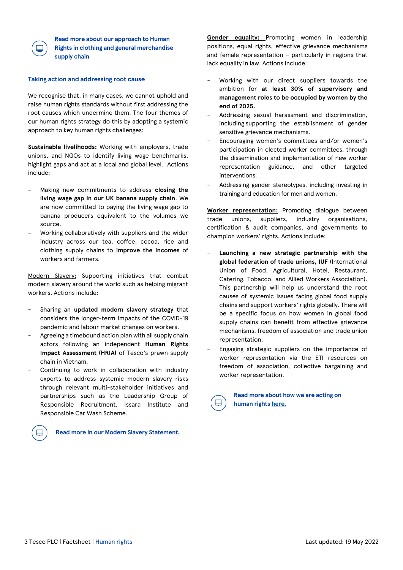

**[Read more about our approach to Human](https://www.tescoplc.com/media/759020/tesco_modern_slavery_statement_2022.pdf)  [Rights in clothing and general merchandise](https://www.tescoplc.com/media/759020/tesco_modern_slavery_statement_2022.pdf)  [supply chain](https://www.tescoplc.com/media/759020/tesco_modern_slavery_statement_2022.pdf)**

#### **Taking action and addressing root cause**

We recognise that, in many cases, we cannot uphold and raise human rights standards without first addressing the root causes which undermine them. The four themes of our human rights strategy do this by adopting a systemic approach to key human rights challenges:

**[Sustainable livelihoods:](https://www.tescoplc.com/sustainability/publications/policies/downloads/sustainable-livelihoods-supply-chain-strategy/)** Working with employers, trade unions, and NGOs to identify living wage benchmarks, highlight gaps and act at a local and global level. Actions include:

- − Making new commitments to address **closing the living wage gap in our UK banana supply chain**. We are now committed to paying the living wage gap to banana producers equivalent to the volumes we source.
- − Working collaboratively with suppliers and the wider industry across our tea, coffee, cocoa, rice and clothing supply chains to **improve the incomes** of workers and farmers.

[Modern Slavery](https://www.tescoplc.com/sustainability/documents/policies/modern-slavery-strategy-1/)**:** Supporting initiatives that combat modern slavery around the world such as helping migrant workers. Actions include:

- Sharing an **updated modern slavery strategy** that considers the longer-term impacts of the COVID-19 pandemic and labour market changes on workers.
- Agreeing a timebound action plan with all supply chain actors following an independent **Human Rights Impact Assessment (HRIA)** of Tesco's prawn supply chain in Vietnam.
- Continuing to work in collaboration with industry experts to address systemic modern slavery risks through relevant multi-stakeholder initiatives and partnerships such as the Leadership Group of Responsible Recruitment, Issara Institute and Responsible Car Wash Scheme.



**Read more in ou[r Modern Slavery Statement](https://www.tescoplc.com/modernslavery/)***.*

**[Gender equality:](https://www.tescoplc.com/sustainability/publications/policies/downloads/gender-supply-chain-strategy/)** Promoting women in leadership positions, equal rights, effective grievance mechanisms and female representation – particularly in regions that lack equality in law. Actions include:

- Working with our direct suppliers towards the ambition for **at least 30% of supervisory and management roles to be occupied by women by the end of 2025.**
- Addressing sexual harassment and discrimination, including supporting the establishment of gender sensitive grievance mechanisms.
- Encouraging women's committees and/or women's participation in elected worker committees, through the dissemination and implementation of new worker representation guidance, and other targeted interventions.
- Addressing gender stereotypes, including investing in training and education for men and women.

**[Worker representation:](https://www.tescoplc.com/sustainability/publications/policies/downloads/our-approach-to-human-rights/)** Promoting dialogue between trade unions, suppliers, industry organisations, certification & audit companies, and governments to champion workers' rights. Actions include:

- Launching a new strategic partnership with the **global federation of trade unions, IUF** (International Union of Food, Agricultural, Hotel, Restaurant, Catering, Tobacco, and Allied Workers Association). This partnership will help us understand the root causes of systemic issues facing global food supply chains and support workers' rights globally. There will be a specific focus on how women in global food supply chains can benefit from effective grievance mechanisms, freedom of association and trade union representation.
- Engaging strategic suppliers on the importance of worker representation via the ETI resources on freedom of association, collective bargaining and worker representation.



**Read more about how we are acting on human rights [here.](https://www.tescoplc.com/sustainability/documents/policies/our-approach-to-human-rights/)**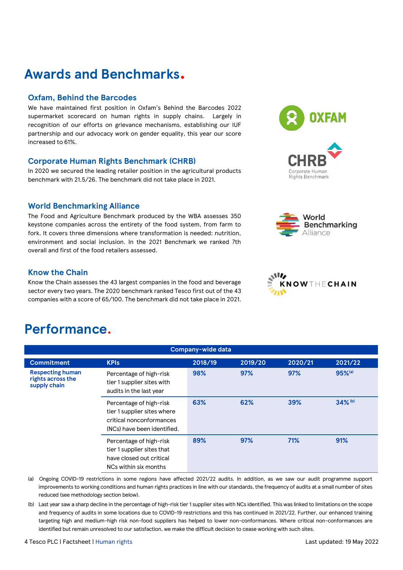## **Awards and Benchmarks.**

#### **Oxfam, Behind the Barcodes**

We have maintained first position in Oxfam's Behind the Barcodes 2022 supermarket scorecard on human rights in supply chains. Largely in recognition of our efforts on grievance mechanisms, establishing our IUF partnership and our advocacy work on gender equality, this year our score increased to 61%.

#### **Corporate Human Rights Benchmark (CHRB)**

In 2020 we secured the leading retailer position in the agricultural products benchmark with 21.5/26. The benchmark did not take place in 2021.

#### **World Benchmarking Alliance**

The Food and Agriculture Benchmark produced by the WBA assesses 350 keystone companies across the entirety of the food system, from farm to fork. It covers three dimensions where transformation is needed: nutrition, environment and social inclusion. In the 2021 Benchmark we ranked 7th overall and first of the food retailers assessed.

#### **Know the Chain**

Know the Chain assesses the 43 largest companies in the food and beverage sector every two years. The 2020 benchmark ranked Tesco first out of the 43 companies with a score of 65/100. The benchmark did not take place in 2021.

## **Performance.**

| Company-wide data                                            |                                                                                                                   |         |         |         |                      |
|--------------------------------------------------------------|-------------------------------------------------------------------------------------------------------------------|---------|---------|---------|----------------------|
| <b>Commitment</b>                                            | <b>KPIs</b>                                                                                                       | 2018/19 | 2019/20 | 2020/21 | 2021/22              |
| <b>Respecting human</b><br>rights across the<br>supply chain | Percentage of high-risk<br>tier 1 supplier sites with<br>audits in the last year                                  | 98%     | 97%     | 97%     | $95%$ <sup>(a)</sup> |
|                                                              | Percentage of high-risk<br>tier 1 supplier sites where<br>critical nonconformances<br>(NCs) have been identified. | 63%     | 62%     | 39%     | 34% (b)              |
|                                                              | Percentage of high-risk<br>tier 1 supplier sites that<br>have closed out critical<br>NCs within six months        | 89%     | 97%     | 71%     | 91%                  |

(a) Ongoing COVID-19 restrictions in some regions have affected 2021/22 audits. In addition, as we saw our audit programme support improvements to working conditions and human rights practices in line with our standards, the frequency of audits at a small number of sites reduced (see methodology section below).

(b) Last year saw a sharp decline in the percentage of high-risk tier 1 supplier sites with NCs identified. This was linked to limitations on the scope and frequency of audits in some locations due to COVID-19 restrictions and this has continued in 2021/22. Further, our enhanced training targeting high and medium-high risk non-food suppliers has helped to lower non-conformances. Where critical non-conformances are identified but remain unresolved to our satisfaction, we make the difficult decision to cease working with such sites.





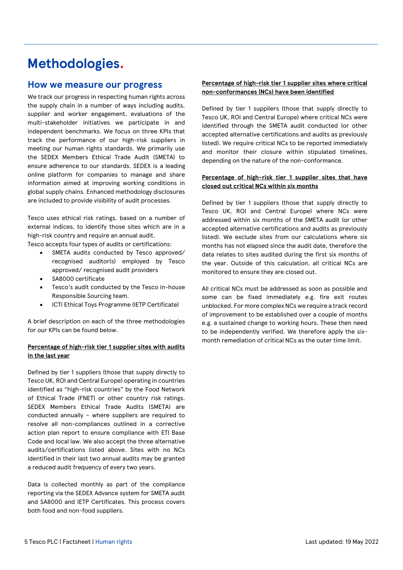## **Methodologies.**

#### **How we measure our progress**

We track our progress in respecting human rights across the supply chain in a number of ways including audits, supplier and worker engagement, evaluations of the multi-stakeholder initiatives we participate in and independent benchmarks. We focus on three KPIs that track the performance of our high-risk suppliers in meeting our human rights standards. We primarily use the SEDEX Members Ethical Trade Audit (SMETA) to ensure adherence to our standards. SEDEX is a leading online platform for companies to manage and share information aimed at improving working conditions in global supply chains. Enhanced methodology disclosures are included to provide visibility of audit processes.

Tesco uses ethical risk ratings, based on a number of external indices, to identify those sites which are in a high-risk country and require an annual audit.

Tesco accepts four types of audits or certifications:

- SMETA audits conducted by Tesco approved/ recognised auditor(s) employed by Tesco approved/ recognised audit providers
- SA8000 certificate
- Tesco's audit conducted by the Tesco in-house Responsible Sourcing team.
- ICTI Ethical Toys Programme (IETP Certificate)

A brief description on each of the three methodologies for our KPIs can be found below.

#### **Percentage of high-risk tier 1 supplier sites with audits in the last year**

Defined by tier 1 suppliers (those that supply directly to Tesco UK, ROI and Central Europe) operating in countries identified as "high-risk countries" by the Food Network of Ethical Trade (FNET) or other country risk ratings. SEDEX Members Ethical Trade Audits (SMETA) are conducted annually – where suppliers are required to resolve all non-compliances outlined in a corrective action plan report to ensure compliance with ETI Base Code and local law. We also accept the three alternative audits/certifications listed above. Sites with no NCs identified in their last two annual audits may be granted a reduced audit frequency of every two years.

Data is collected monthly as part of the compliance reporting via the SEDEX Advance system for SMETA audit and SA8000 and IETP Certificates. This process covers both food and non-food suppliers.

#### **Percentage of high-risk tier 1 supplier sites where critical non-conformances (NCs) have been identified**

Defined by tier 1 suppliers (those that supply directly to Tesco UK, ROI and Central Europe) where critical NCs were identified through the SMETA audit conducted (or other accepted alternative certifications and audits as previously listed). We require critical NCs to be reported immediately and monitor their closure within stipulated timelines, depending on the nature of the non-conformance.

#### **Percentage of high-risk tier 1 supplier sites that have closed out critical NCs within six months**

Defined by tier 1 suppliers (those that supply directly to Tesco UK, ROI and Central Europe) where NCs were addressed within six months of the SMETA audit (or other accepted alternative certifications and audits as previously listed). We exclude sites from our calculations where six months has not elapsed since the audit date, therefore the data relates to sites audited during the first six months of the year. Outside of this calculation, all critical NCs are monitored to ensure they are closed out.

All critical NCs must be addressed as soon as possible and some can be fixed immediately e.g. fire exit routes unblocked. For more complex NCs we require a track record of improvement to be established over a couple of months e.g. a sustained change to working hours. These then need to be independently verified. We therefore apply the sixmonth remediation of critical NCs as the outer time limit.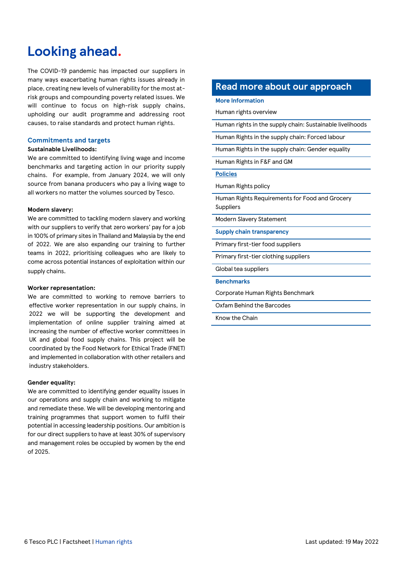## **Looking ahead.**

The COVID-19 pandemic has impacted our suppliers in many ways exacerbating human rights issues already in place, creating new levels of vulnerability for the most atrisk groups and compounding poverty related issues. We will continue to focus on high-risk supply chains, upholding our audit programme and addressing root causes, to raise standards and protect human rights.

#### **Commitments and targets**

#### **Sustainable Livelihoods:**

We are committed to identifying living wage and income benchmarks and targeting action in our priority supply chains. For example, from January 2024, we will only source from banana producers who pay a living wage to all workers no matter the volumes sourced by Tesco.

#### **Modern slavery:**

We are committed to tackling modern slavery and working with our suppliers to verify that zero workers' pay for a job in 100% of primary sites in Thailand and Malaysia by the end of 2022. We are also expanding our training to further teams in 2022, prioritising colleagues who are likely to come across potential instances of exploitation within our supply chains.

#### **Worker representation:**

We are committed to working to remove barriers to effective worker representation in our supply chains, in 2022 we will be supporting the development and implementation of online supplier training aimed at increasing the number of effective worker committees in UK and global food supply chains. This project will be coordinated by the Food Network for Ethical Trade (FNET) and implemented in collaboration with other retailers and industry stakeholders.

#### **Gender equality:**

We are committed to identifying gender equality issues in our operations and supply chain and working to mitigate and remediate these. We will be developing mentoring and training programmes that support women to fulfil their potential in accessing leadership positions. Our ambition is for our direct suppliers to have at least 30% of supervisory and management roles be occupied by women by the end of 2025.

#### **Read more about our approach**

#### **More Information**

[Human rights overview](https://www.tescoplc.com/sustainability/human-rights/)

[Human rights in the supply chain: Sustainable livelihoods](https://www.tescoplc.com/sustainability/documents/policies/sustainable-livelihoods-supply-chain-strategy/)

[Human Rights in the supply chain: Forced labour](https://www.tescoplc.com/sustainability/documents/policies/modern-slavery-strategy-1/)

[Human Rights in the supply chain: Gender equality](https://www.tescoplc.com/sustainability/documents/policies/gender-equality-supply-chain-strategy/)

[Human Rights in F&F and GM](https://www.tescoplc.com/sustainability/human-rights-in-ff-gm/)

#### **Policies**

[Human Rights policy](https://www.tescoplc.com/sustainability/documents/policies/our-approach-to-human-rights/)

[Human Rights Requirements for Food and Grocery](https://www.tescoplc.com/media/758348/60585v13en-human-rights-requirements-for-food-and-grocery-non-food-suppliers_for-plc-publication.pdf)  [Suppliers](https://www.tescoplc.com/media/758348/60585v13en-human-rights-requirements-for-food-and-grocery-non-food-suppliers_for-plc-publication.pdf)

[Modern Slavery Statement](https://www.tescoplc.com/media/759020/tesco_modern_slavery_statement_2022.pdf)

**Supply chain transparency**

[Primary first-tier food suppliers](https://www.tescoplc.com/media/758347/primary-supplier-list_jan-2022.pdf)

[Primary first-tier clothing suppliers](https://www.tescoplc.com/media/758484/80632v10en-responsible-sourcing-manual-clothing-and-general-merchandise-suppliers.pdf)

[Global tea suppliers](https://www.tescoplc.com/media/758315/tesco-global-tea-suppliers-list-dec-21.pdf)

#### **Benchmarks**

[Corporate Human Rights Benchmark](https://www.worldbenchmarkingalliance.org/corporate-human-rights-benchmark/)

[Oxfam Behind the Barcodes](https://policy-practice.oxfam.org/resources/behind-the-barcodes-2022-supermarket-scorecard-and-data-621358/)

[Know the Chain](https://knowthechain.org/)